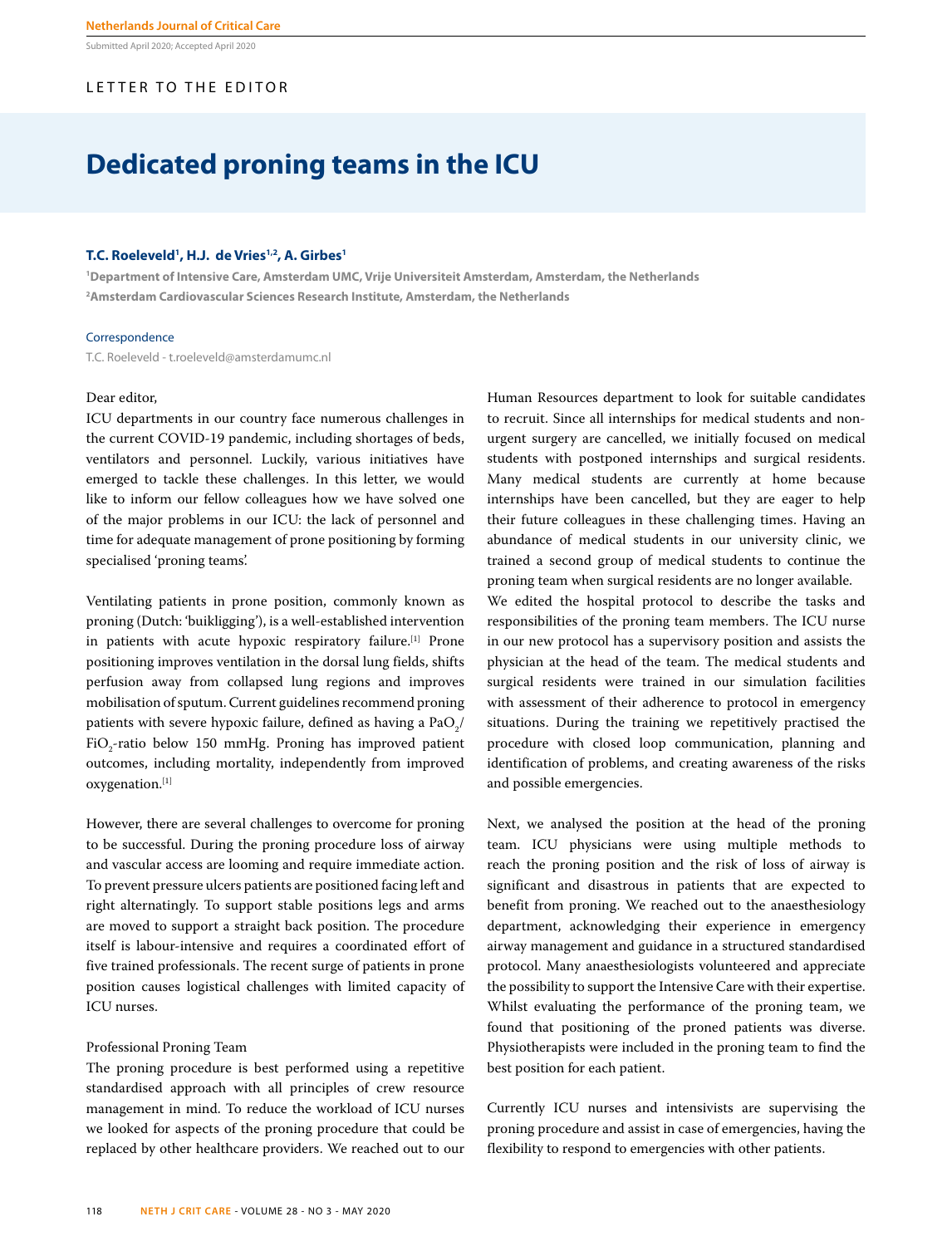Submitted April 2020; Accepted April 2020

## LETTER TO THE EDITOR

# **Dedicated proning teams in the ICU**

### **T.C. Roeleveld1 , H.J. de Vries1,2, A. Girbes1**

**1 Department of Intensive Care, Amsterdam UMC, Vrije Universiteit Amsterdam, Amsterdam, the Netherlands 2 Amsterdam Cardiovascular Sciences Research Institute, Amsterdam, the Netherlands**

#### Correspondence

T.C. Roeleveld - t.roeleveld@amsterdamumc.nl

#### Dear editor,

ICU departments in our country face numerous challenges in the current COVID-19 pandemic, including shortages of beds, ventilators and personnel. Luckily, various initiatives have emerged to tackle these challenges. In this letter, we would like to inform our fellow colleagues how we have solved one of the major problems in our ICU: the lack of personnel and time for adequate management of prone positioning by forming specialised 'proning teams'.

Ventilating patients in prone position, commonly known as proning (Dutch: 'buikligging'), is a well-established intervention in patients with acute hypoxic respiratory failure.<sup>[1]</sup> Prone positioning improves ventilation in the dorsal lung fields, shifts perfusion away from collapsed lung regions and improves mobilisation of sputum. Current guidelines recommend proning patients with severe hypoxic failure, defined as having a  $\mathrm{PaO}_2/\,$ FiO<sub>2</sub>-ratio below 150 mmHg. Proning has improved patient outcomes, including mortality, independently from improved oxygenation.[1]

However, there are several challenges to overcome for proning to be successful. During the proning procedure loss of airway and vascular access are looming and require immediate action. To prevent pressure ulcers patients are positioned facing left and right alternatingly. To support stable positions legs and arms are moved to support a straight back position. The procedure itself is labour-intensive and requires a coordinated effort of five trained professionals. The recent surge of patients in prone position causes logistical challenges with limited capacity of ICU nurses.

#### Professional Proning Team

The proning procedure is best performed using a repetitive standardised approach with all principles of crew resource management in mind. To reduce the workload of ICU nurses we looked for aspects of the proning procedure that could be replaced by other healthcare providers. We reached out to our Human Resources department to look for suitable candidates to recruit. Since all internships for medical students and nonurgent surgery are cancelled, we initially focused on medical students with postponed internships and surgical residents. Many medical students are currently at home because internships have been cancelled, but they are eager to help their future colleagues in these challenging times. Having an abundance of medical students in our university clinic, we trained a second group of medical students to continue the proning team when surgical residents are no longer available. We edited the hospital protocol to describe the tasks and responsibilities of the proning team members. The ICU nurse

in our new protocol has a supervisory position and assists the physician at the head of the team. The medical students and surgical residents were trained in our simulation facilities with assessment of their adherence to protocol in emergency situations. During the training we repetitively practised the procedure with closed loop communication, planning and identification of problems, and creating awareness of the risks and possible emergencies.

Next, we analysed the position at the head of the proning team. ICU physicians were using multiple methods to reach the proning position and the risk of loss of airway is significant and disastrous in patients that are expected to benefit from proning. We reached out to the anaesthesiology department, acknowledging their experience in emergency airway management and guidance in a structured standardised protocol. Many anaesthesiologists volunteered and appreciate the possibility to support the Intensive Care with their expertise. Whilst evaluating the performance of the proning team, we found that positioning of the proned patients was diverse. Physiotherapists were included in the proning team to find the best position for each patient.

Currently ICU nurses and intensivists are supervising the proning procedure and assist in case of emergencies, having the flexibility to respond to emergencies with other patients.